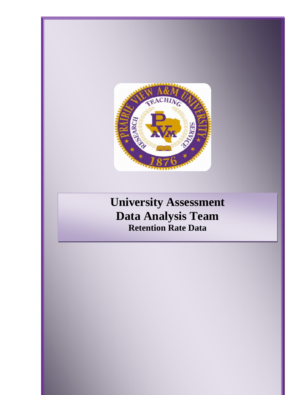

# **University Assessment Data Analysis Team Retention Rate Data**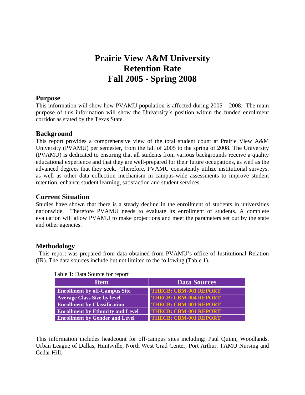# **Prairie View A&M University Retention Rate Fall 2005 - Spring 2008**

# **Purpose**

This information will show how PVAMU population is affected during 2005 – 2008. The main purpose of this information will show the University's position within the funded enrollment corridor as stated by the Texas State.

# **Background**

This report provides a comprehensive view of the total student count at Prairie View A&M University (PVAMU) per semester, from the fall of 2005 to the spring of 2008. The University (PVAMU) is dedicated to ensuring that all students from various backgrounds receive a quality educational experience and that they are well-prepared for their future occupations, as well as the advanced degrees that they seek. Therefore, PVAMU consistently utilize institutional surveys, as well as other data collection mechanism in campus-wide assessments to improve student retention, enhance student learning, satisfaction and student services.

# **Current Situation**

Studies have shown that there is a steady decline in the enrollment of students in universities nationwide. Therefore PVAMU needs to evaluate its enrollment of students. A complete evaluation will allow PVAMU to make projections and meet the parameters set out by the state and other agencies.

# **Methodology**

 This report was prepared from data obtained from PVAMU's office of Institutional Relation (IR). The data sources include but not limited to the following (Table 1).

| <b>Item</b>                              | <b>Data Sources</b>          |  |  |  |  |  |
|------------------------------------------|------------------------------|--|--|--|--|--|
| <b>Enrollment by off-Campus Site</b>     | <b>THECB: CBM-001 REPORT</b> |  |  |  |  |  |
| <b>Average Class Size by level</b>       | <b>THECB: CBM-004 REPORT</b> |  |  |  |  |  |
| <b>Enrollment by Classification</b>      | <b>THECB: CBM-001 REPORT</b> |  |  |  |  |  |
| <b>Enrollment by Ethnicity and Level</b> | <b>THECB: CBM-001 REPORT</b> |  |  |  |  |  |
| <b>Enrollment by Gender and Level</b>    | <b>THECB: CBM-001 REPORT</b> |  |  |  |  |  |

#### Table 1: Data Source for report

This information includes headcount for off-campus sites including: Paul Quinn, Woodlands, Urban League of Dallas, Huntsville, North West Grad Center, Port Arthur, TAMU Nursing and Cedar Hill.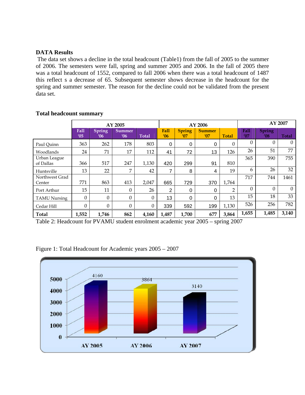#### **DATA Results**

 The data set shows a decline in the total headcount (Table1) from the fall of 2005 to the summer of 2006. The semesters were fall, spring and summer 2005 and 2006. In the fall of 2005 there was a total headcount of 1552, compared to fall 2006 when there was a total headcount of 1487 this reflect s a decrease of 65. Subsequent semester shows decrease in the headcount for the spring and summer semester. The reason for the decline could not be validated from the present data set.

|                           |                    |                      | AY 2005              |                  | AY 2006            |                      |                      |              | AY 2007     |                                |                |
|---------------------------|--------------------|----------------------|----------------------|------------------|--------------------|----------------------|----------------------|--------------|-------------|--------------------------------|----------------|
|                           | <b>Fall</b><br>'05 | <b>Spring</b><br>'06 | <b>Summer</b><br>'06 | <b>Total</b>     | <b>Fall</b><br>'06 | <b>Spring</b><br>'07 | <b>Summer</b><br>'07 | <b>Total</b> | Fall<br>'07 | <b>Spring</b><br>$^{\prime}08$ | <b>Total</b>   |
| Paul Ouinn                | 363                | 262                  | 178                  | 803              | 0                  | 0                    | 0                    | $\Omega$     | $\theta$    | $\Omega$                       | $\overline{0}$ |
| Woodlands                 | 24                 | 71                   | 17                   | 112              | 41                 | 72                   | 13                   | 126          | 26          | 51                             | 77             |
| Urban League<br>of Dallas | 366                | 517                  | 247                  | 1,130            | 420                | 299                  | 91                   | 810          | 365         | 390                            | 755            |
| Huntsville                | 13                 | 22                   | $\overline{ }$       | 42               | 7                  | 8                    | 4                    | 19           | 6           | 26                             | 32             |
| Northwest Grad<br>Center  | 771                | 863                  | 413                  | 2,047            | 665                | 729                  | 370                  | 1,764        | 717         | 744                            | 1461           |
| Port Arthur               | 15                 | 11                   | $\Omega$             | 26               | 2                  | $\Omega$             | 0                    | 2            | $\Omega$    | $\Omega$                       | $\overline{0}$ |
| <b>TAMU Nursing</b>       | $\Omega$           | 0                    | $\Omega$             | $\boldsymbol{0}$ | 13                 | 0                    | 0                    | 13           | 15          | 18                             | 33             |
| Cedar Hill                | $\theta$           | $\Omega$             | $\Omega$             | $\boldsymbol{0}$ | 339                | 592                  | 199                  | 1,130        | 526         | 256                            | 782            |
| Total                     | 1,552              | 1,746                | 862                  | 4,160            | 1,487              | 1,700                | 677                  | 3,864        | 1,655       | 1,485                          | 3,140          |

#### **Total headcount summary**

Table 2: Headcount for PVAMU student enrolment academic year 2005 – spring 2007

Figure 1: Total Headcount for Academic years 2005 – 2007

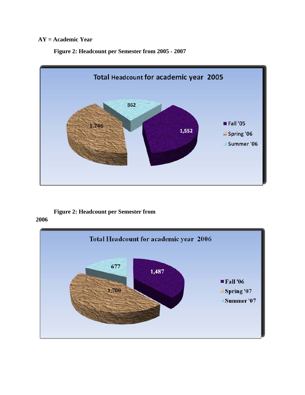# **AY = Academic Year**

**Figure 2: Headcount per Semester from 2005 - 2007** 



### **Figure 2: Headcount per Semester from 2006**

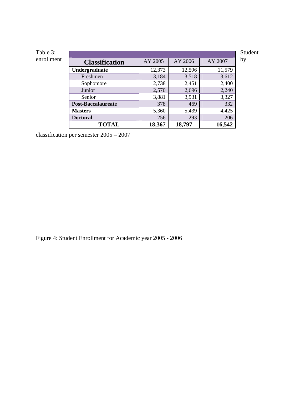| Table 3:   |                           |         |         |         | Student |
|------------|---------------------------|---------|---------|---------|---------|
| enrollment | <b>Classification</b>     | AY 2005 | AY 2006 | AY 2007 | by      |
|            | Undergraduate             | 12,373  | 12,596  | 11,579  |         |
|            | Freshmen                  | 3,184   | 3,518   | 3,612   |         |
|            | Sophomore                 | 2,738   | 2,451   | 2,400   |         |
|            | Junior                    | 2,570   | 2,696   | 2,240   |         |
|            | Senior                    | 3,881   | 3,931   | 3,327   |         |
|            | <b>Post-Baccalaureate</b> | 378     | 469     | 332     |         |
|            | <b>Masters</b>            | 5,360   | 5,439   | 4,425   |         |
|            | <b>Doctoral</b>           | 256     | 293     | 206     |         |
|            | <b>TOTAL</b>              | 18,367  | 18,797  | 16,542  |         |

classification per semester 2005 – 2007

Figure 4: Student Enrollment for Academic year 2005 - 2006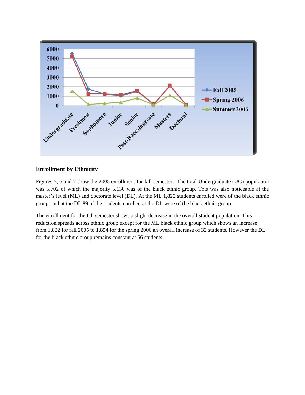

#### **Enrollment by Ethnicity**

Figures 5, 6 and 7 show the 2005 enrollment for fall semester. The total Undergraduate (UG) population was 5,702 of which the majority 5,130 was of the black ethnic group. This was also noticeable at the master's level (ML) and doctorate level (DL). At the ML 1,822 students enrolled were of the black ethnic group, and at the DL 89 of the students enrolled at the DL were of the black ethnic group.

The enrollment for the fall semester shows a slight decrease in the overall student population. This reduction spreads across ethnic group except for the ML black ethnic group which shows an increase from 1,822 for fall 2005 to 1,854 for the spring 2006 an overall increase of 32 students. However the DL for the black ethnic group remains constant at 56 students.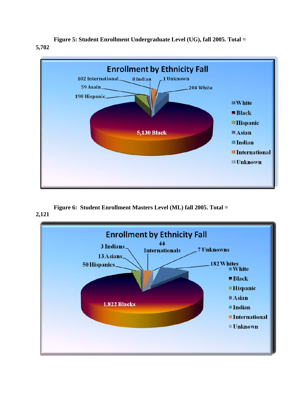**Figure 5: Student Enrollment Undergraduate Level (UG), fall 2005. Total = 5,702**



**Figure 6: Student Enrollment Masters Level (ML) fall 2005. Total = 2,121**

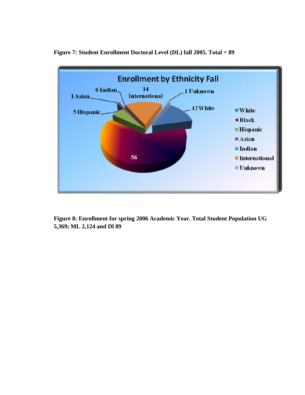

**Figure 7: Student Enrollment Doctoral Level (DL) fall 2005. Total = 89** 

**Figure 8: Enrollment for spring 2006 Academic Year. Total Student Population UG 5,369; ML 2,124 and Dl 89**